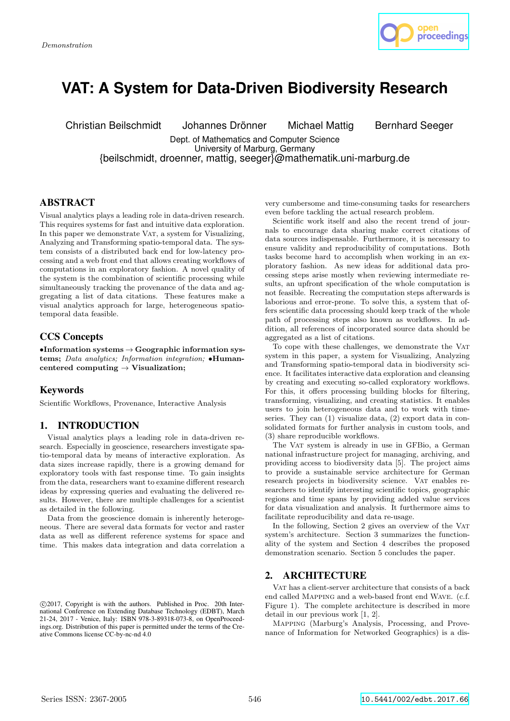

# **VAT: A System for Data-Driven Biodiversity Research**

Christian Beilschmidt Johannes Drönner Michael Mattig Bernhard Seeger

Dept. of Mathematics and Computer Science University of Marburg, Germany {beilschmidt, droenner, mattig, seeger}@mathematik.uni-marburg.de

# ABSTRACT

Visual analytics plays a leading role in data-driven research. This requires systems for fast and intuitive data exploration. In this paper we demonstrate VAT, a system for Visualizing, Analyzing and Transforming spatio-temporal data. The system consists of a distributed back end for low-latency processing and a web front end that allows creating workflows of computations in an exploratory fashion. A novel quality of the system is the combination of scientific processing while simultaneously tracking the provenance of the data and aggregating a list of data citations. These features make a visual analytics approach for large, heterogeneous spatiotemporal data feasible.

# CCS Concepts

 $\bullet$ Information systems  $\to$  Geographic information systems; Data analytics; Information integration;  $\bullet$ Humancentered computing  $\rightarrow$  Visualization;

## Keywords

Scientific Workflows, Provenance, Interactive Analysis

# 1. INTRODUCTION

Visual analytics plays a leading role in data-driven research. Especially in geoscience, researchers investigate spatio-temporal data by means of interactive exploration. As data sizes increase rapidly, there is a growing demand for exploratory tools with fast response time. To gain insights from the data, researchers want to examine different research ideas by expressing queries and evaluating the delivered results. However, there are multiple challenges for a scientist as detailed in the following.

Data from the geoscience domain is inherently heterogeneous. There are several data formats for vector and raster data as well as different reference systems for space and time. This makes data integration and data correlation a

very cumbersome and time-consuming tasks for researchers even before tackling the actual research problem.

Scientific work itself and also the recent trend of journals to encourage data sharing make correct citations of data sources indispensable. Furthermore, it is necessary to ensure validity and reproducibility of computations. Both tasks become hard to accomplish when working in an exploratory fashion. As new ideas for additional data processing steps arise mostly when reviewing intermediate results, an upfront specification of the whole computation is not feasible. Recreating the computation steps afterwards is laborious and error-prone. To solve this, a system that offers scientific data processing should keep track of the whole path of processing steps also known as workflows. In addition, all references of incorporated source data should be aggregated as a list of citations.

To cope with these challenges, we demonstrate the VAT system in this paper, a system for Visualizing, Analyzing and Transforming spatio-temporal data in biodiversity science. It facilitates interactive data exploration and cleansing by creating and executing so-called exploratory workflows. For this, it offers processing building blocks for filtering, transforming, visualizing, and creating statistics. It enables users to join heterogeneous data and to work with timeseries. They can  $(1)$  visualize data,  $(2)$  export data in consolidated formats for further analysis in custom tools, and (3) share reproducible workflows.

The Vat system is already in use in GFBio, a German national infrastructure project for managing, archiving, and providing access to biodiversity data [5]. The project aims to provide a sustainable service architecture for German research projects in biodiversity science. VAT enables researchers to identify interesting scientific topics, geographic regions and time spans by providing added value services for data visualization and analysis. It furthermore aims to facilitate reproducibility and data re-usage.

In the following, Section 2 gives an overview of the VAT system's architecture. Section 3 summarizes the functionality of the system and Section 4 describes the proposed demonstration scenario. Section 5 concludes the paper.

# 2. ARCHITECTURE

Vat has a client-server architecture that consists of a back end called Mapping and a web-based front end Wave. (c.f. Figure 1). The complete architecture is described in more detail in our previous work [1, 2].

Mapping (Marburg's Analysis, Processing, and Provenance of Information for Networked Geographics) is a dis-

c 2017, Copyright is with the authors. Published in Proc. 20th International Conference on Extending Database Technology (EDBT), March 21-24, 2017 - Venice, Italy: ISBN 978-3-89318-073-8, on OpenProceedings.org. Distribution of this paper is permitted under the terms of the Creative Commons license CC-by-nc-nd 4.0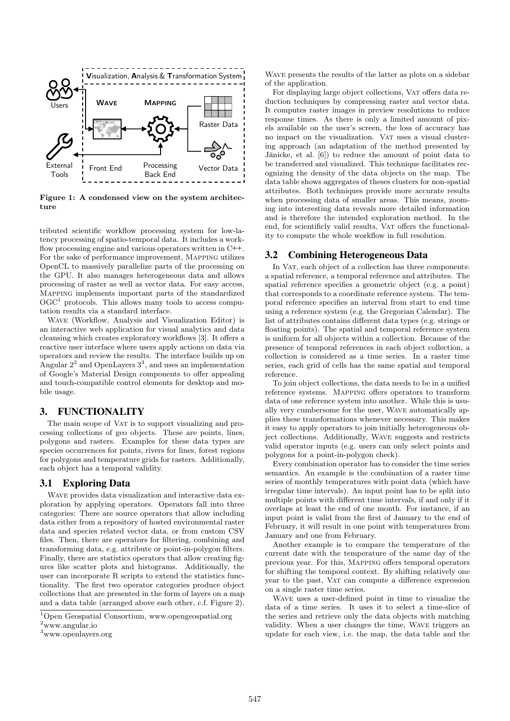

Figure 1: A condensed view on the system architecture

tributed scientific workflow processing system for low-latency processing of spatio-temporal data. It includes a workflow processing engine and various operators written in C++. For the sake of performance improvement, Mapping utilizes OpenCL to massively parallelize parts of the processing on the GPU. It also manages heterogeneous data and allows processing of raster as well as vector data. For easy access, Mapping implements important parts of the standardized  $OGC<sup>1</sup>$  protocols. This allows many tools to access computation results via a standard interface.

Wave (Workflow, Analysis and Visualization Editor) is an interactive web application for visual analytics and data cleansing which creates exploratory workflows [3]. It offers a reactive user interface where users apply actions on data via operators and review the results. The interface builds up on Angular  $2^2$  and OpenLayers  $3^3$ , and uses an implementation of Google's Material Design components to offer appealing and touch-compatible control elements for desktop and mobile usage.

# 3. FUNCTIONALITY

The main scope of VAT is to support visualizing and processing collections of geo objects. These are points, lines, polygons and rasters. Examples for these data types are species occurrences for points, rivers for lines, forest regions for polygons and temperature grids for rasters. Additionally, each object has a temporal validity.

## 3.1 Exploring Data

WAVE provides data visualization and interactive data exploration by applying operators. Operators fall into three categories: There are source operators that allow including data either from a repository of hosted environmental raster data and species related vector data, or from custom CSV files. Then, there are operators for filtering, combining and transforming data, e.g. attribute or point-in-polygon filters. Finally, there are statistics operators that allow creating figures like scatter plots and histograms. Additionally, the user can incorporate R scripts to extend the statistics functionality. The first two operator categories produce object collections that are presented in the form of layers on a map and a data table (arranged above each other, c.f. Figure 2). Wave presents the results of the latter as plots on a sidebar of the application.

For displaying large object collections, VAT offers data reduction techniques by compressing raster and vector data. It computes raster images in preview resolutions to reduce response times. As there is only a limited amount of pixels available on the user's screen, the loss of accuracy has no impact on the visualization. VAT uses a visual clustering approach (an adaptation of the method presented by Jänicke, et al.  $[6]$  to reduce the amount of point data to be transferred and visualized. This technique facilitates recognizing the density of the data objects on the map. The data table shows aggregates of theses clusters for non-spatial attributes. Both techniques provide more accurate results when processing data of smaller areas. This means, zooming into interesting data reveals more detailed information and is therefore the intended exploration method. In the end, for scientificly valid results, Vat offers the functionality to compute the whole workflow in full resolution.

# 3.2 Combining Heterogeneous Data

In VAT, each object of a collection has three components: a spatial reference, a temporal reference and attributes. The spatial reference specifies a geometric object (e.g. a point) that corresponds to a coordinate reference system. The temporal reference specifies an interval from start to end time using a reference system (e.g. the Gregorian Calendar). The list of attributes contains different data types (e.g. strings or floating points). The spatial and temporal reference system is uniform for all objects within a collection. Because of the presence of temporal references in each object collection, a collection is considered as a time series. In a raster time series, each grid of cells has the same spatial and temporal reference.

To join object collections, the data needs to be in a unified reference systems. Mapping offers operators to transform data of one reference system into another. While this is usually very cumbersome for the user, Wave automatically applies these transformations whenever necessary. This makes it easy to apply operators to join initially heterogeneous object collections. Additionally, Wave suggests and restricts valid operator inputs (e.g. users can only select points and polygons for a point-in-polygon check).

Every combination operator has to consider the time series semantics. An example is the combination of a raster time series of monthly temperatures with point data (which have irregular time intervals). An input point has to be split into multiple points with different time intervals, if and only if it overlaps at least the end of one month. For instance, if an input point is valid from the first of January to the end of February, it will result in one point with temperatures from January and one from February.

Another example is to compare the temperature of the current date with the temperature of the same day of the previous year. For this, Mapping offers temporal operators for shifting the temporal context. By shifting relatively one year to the past, VAT can compute a difference expression on a single raster time series.

Wave uses a user-defined point in time to visualize the data of a time series. It uses it to select a time-slice of the series and retrieve only the data objects with matching validity. When a user changes the time, Wave triggers an update for each view, i.e. the map, the data table and the

<sup>1</sup>Open Geospatial Consortium, www.opengeospatial.org  $2$ www.angular.io

<sup>3</sup>www.openlayers.org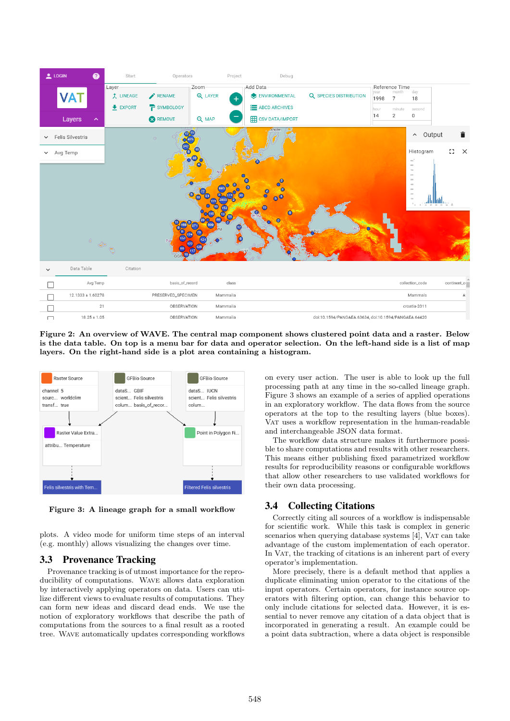

Figure 2: An overview of WAVE. The central map component shows clustered point data and a raster. Below is the data table. On top is a menu bar for data and operator selection. On the left-hand side is a list of map layers. On the right-hand side is a plot area containing a histogram.



Figure 3: A lineage graph for a small workflow

plots. A video mode for uniform time steps of an interval (e.g. monthly) allows visualizing the changes over time.

## 3.3 Provenance Tracking

Provenance tracking is of utmost importance for the reproducibility of computations. Wave allows data exploration by interactively applying operators on data. Users can utilize different views to evaluate results of computations. They can form new ideas and discard dead ends. We use the notion of exploratory workflows that describe the path of computations from the sources to a final result as a rooted tree. Wave automatically updates corresponding workflows on every user action. The user is able to look up the full processing path at any time in the so-called lineage graph. Figure 3 shows an example of a series of applied operations in an exploratory workflow. The data flows from the source operators at the top to the resulting layers (blue boxes). VAT uses a workflow representation in the human-readable and interchangeable JSON data format.

The workflow data structure makes it furthermore possible to share computations and results with other researchers. This means either publishing fixed parametrized workflow results for reproducibility reasons or configurable workflows that allow other researchers to use validated workflows for their own data processing.

# 3.4 Collecting Citations

Correctly citing all sources of a workflow is indispensable for scientific work. While this task is complex in generic scenarios when querying database systems [4], VAT can take advantage of the custom implementation of each operator. In VAT, the tracking of citations is an inherent part of every operator's implementation.

More precisely, there is a default method that applies a duplicate eliminating union operator to the citations of the input operators. Certain operators, for instance source operators with filtering option, can change this behavior to only include citations for selected data. However, it is essential to never remove any citation of a data object that is incorporated in generating a result. An example could be a point data subtraction, where a data object is responsible